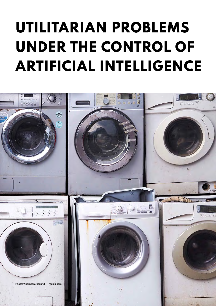## UTILITARIAN PROBLEMS UNDER THE CONTROL OF **ARTIFICIAL INTELLIGENCE**